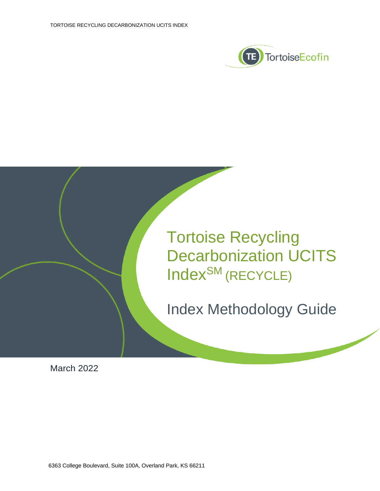



March 2022

6363 College Boulevard, Suite 100A, Overland Park, KS 66211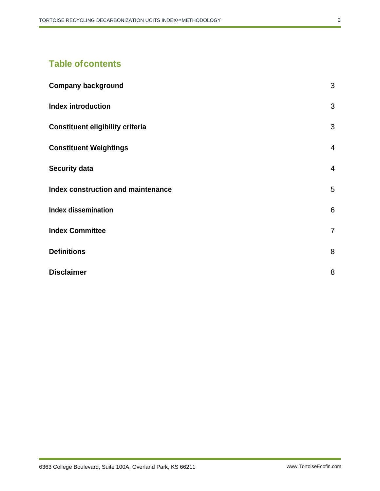# **Table ofcontents**

| <b>Company background</b>                 | 3              |
|-------------------------------------------|----------------|
| <b>Index introduction</b>                 | 3              |
| <b>Constituent eligibility criteria</b>   | 3              |
| <b>Constituent Weightings</b>             | $\overline{4}$ |
| <b>Security data</b>                      | $\overline{4}$ |
| <b>Index construction and maintenance</b> | 5              |
| <b>Index dissemination</b>                | 6              |
| <b>Index Committee</b>                    | $\overline{7}$ |
| <b>Definitions</b>                        | 8              |
| <b>Disclaimer</b>                         | 8              |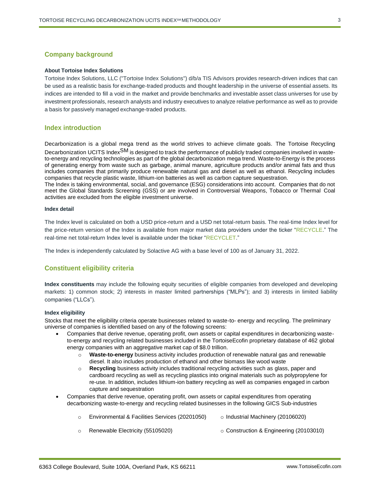# <span id="page-2-0"></span>**Company background**

#### **About Tortoise Index Solutions**

Tortoise Index Solutions, LLC ("Tortoise Index Solutions") d/b/a TIS Advisors provides research-driven indices that can be used as a realistic basis for exchange-traded products and thought leadership in the universe of essential assets. Its indices are intended to fill a void in the market and provide benchmarks and investable asset class universes for use by investment professionals, research analysts and industry executives to analyze relative performance as well as to provide a basis for passively managed exchange-traded products.

## <span id="page-2-1"></span>**Index introduction**

Decarbonization is a global mega trend as the world strives to achieve climate goals. The Tortoise Recycling Decarbonization UCITS Index<sup>SM</sup> is designed to track the performance of publicly traded companies involved in wasteto-energy and recycling technologies as part of the global decarbonization mega trend. Waste-to-Energy is the process of generating energy from waste such as garbage, animal manure, agriculture products and/or animal fats and thus includes companies that primarily produce renewable natural gas and diesel as well as ethanol. Recycling includes companies that recycle plastic waste, lithium-ion batteries as well as carbon capture sequestration.

The Index is taking environmental, social, and governance (ESG) considerations into account. Companies that do not meet the Global Standards Screening (GSS) or are involved in Controversial Weapons, Tobacco or Thermal Coal activities are excluded from the eligible investment universe.

#### **Index detail**

The Index level is calculated on both a USD price-return and a USD net total-return basis. The real-time Index level for the price-return version of the Index is available from major market data providers under the ticker "RECYCLE." The real-time net total-return Index level is available under the ticker "RECYCLET."

The Index is independently calculated by Solactive AG with a base level of 100 as of January 31, 2022.

## <span id="page-2-2"></span>**Constituent eligibility criteria**

**Index constituents** may include the following equity securities of eligible companies from developed and developing markets: 1) common stock; 2) interests in master limited partnerships ("MLPs"); and 3) interests in limited liability companies ("LLCs").

#### **Index eligibility**

Stocks that meet the eligibility criteria operate businesses related to waste-to- energy and recycling. The preliminary universe of companies is identified based on any of the following screens:

- Companies that derive revenue, operating profit, own assets or capital expenditures in decarbonizing wasteto-energy and recycling related businesses included in the TortoiseEcofin proprietary database of 462 global energy companies with an aggregative market cap of \$8.0 trillion.
	- o **Waste-to-energy** business activity includes production of renewable natural gas and renewable diesel. It also includes production of ethanol and other biomass like wood waste
	- o **Recycling** business activity includes traditional recycling activities such as glass, paper and cardboard recycling as well as recycling plastics into original materials such as polypropylene for re-use. In addition, includes lithium-ion battery recycling as well as companies engaged in carbon capture and sequestration
- Companies that derive revenue, operating profit, own assets or capital expenditures from operating decarbonizing waste-to-energy and recycling related businesses in the following GICS Sub-industries
	- $\circ$  Environmental & Facilities Services (20201050)  $\circ$  Industrial Machinery (20106020)
	- o Renewable Electricity (55105020) o Construction & Engineering (20103010)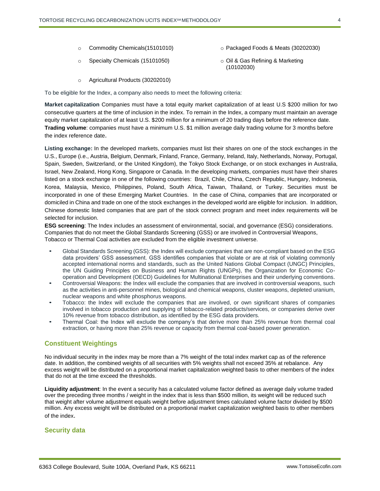- o Commodity Chemicals(15101010) o Packaged Foods & Meats (30202030)
- o Specialty Chemicals (15101050) o Oil & Gas Refining & Marketing
- - (10102030)

o Agricultural Products (30202010)

To be eligible for the Index, a company also needs to meet the following criteria:

**Market capitalization** Companies must have a total equity market capitalization of at least U.S \$200 million for two consecutive quarters at the time of inclusion in the index. To remain in the Index, a company must maintain an average equity market capitalization of at least U.S. \$200 million for a minimum of 20 trading days before the reference date. **Trading volume**: companies must have a minimum U.S. \$1 million average daily trading volume for 3 months before the index reference date.

**Listing exchange:** In the developed markets, companies must list their shares on one of the stock exchanges in the U.S., Europe (i.e., Austria, Belgium, Denmark, Finland, France, Germany, Ireland, Italy, Netherlands, Norway, Portugal, Spain, Sweden, Switzerland, or the United Kingdom), the Tokyo Stock Exchange, or on stock exchanges in Australia, Israel, New Zealand, Hong Kong, Singapore or Canada. In the developing markets, companies must have their shares listed on a stock exchange in one of the following countries: Brazil, Chile, China, Czech Republic, Hungary, Indonesia, Korea, Malaysia, Mexico, Philippines, Poland, South Africa, Taiwan, Thailand, or Turkey. Securities must be incorporated in one of these Emerging Market Countries. In the case of China, companies that are incorporated or domiciled in China and trade on one of the stock exchanges in the developed world are eligible for inclusion. In addition, Chinese domestic listed companies that are part of the stock connect program and meet index requirements will be selected for inclusion.

**ESG screening**: The Index includes an assessment of environmental, social, and governance (ESG) considerations. Companies that do not meet the Global Standards Screening (GSS) or are involved in Controversial Weapons, Tobacco or Thermal Coal activities are excluded from the eligible investment universe.

- Global Standards Screening (GSS): the Index will exclude companies that are non-compliant based on the ESG data providers' GSS assessment. GSS identifies companies that violate or are at risk of violating commonly accepted international norms and standards, such as the United Nations Global Compact (UNGC) Principles, the UN Guiding Principles on Business and Human Rights (UNGPs), the Organization for Economic Cooperation and Development (OECD) Guidelines for Multinational Enterprises and their underlying conventions.
- Controversial Weapons: the Index will exclude the companies that are involved in controversial weapons, such as the activities in anti-personnel mines, biological and chemical weapons, cluster weapons, depleted uranium, nuclear weapons and white phosphorus weapons.
- Tobacco: the Index will exclude the companies that are involved, or own significant shares of companies involved in tobacco production and supplying of tobacco-related products/services, or companies derive over 10% revenue from tobacco distribution, as identified by the ESG data providers.
- Thermal Coal: the Index will exclude the company's that derive more than 25% revenue from thermal coal extraction, or having more than 25% revenue or capacity from thermal coal-based power generation.

# <span id="page-3-0"></span>**Constituent Weightings**

No individual security in the index may be more than a 7% weight of the total index market cap as of the reference date. In addition, the combined weights of all securities with 5% weights shall not exceed 35% at rebalance. Any excess weight will be distributed on a proportional market capitalization weighted basis to other members of the index that do not at the time exceed the thresholds.

**Liquidity adjustment**: In the event a security has a calculated volume factor defined as average daily volume traded over the preceding three months / weight in the index that is less than \$500 million, its weight will be reduced such that weight after volume adjustment equals weight before adjustment times calculated volume factor divided by \$500 million. Any excess weight will be distributed on a proportional market capitalization weighted basis to other members of the index.

# <span id="page-3-1"></span>**Security data**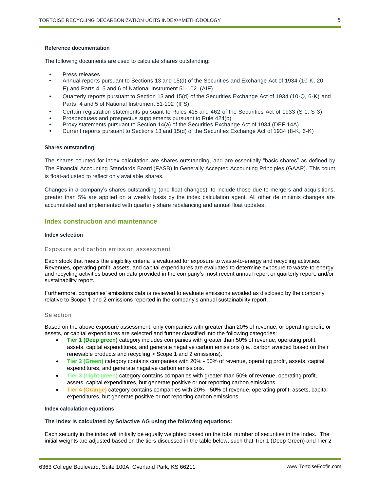#### **Reference documentation**

The following documents are used to calculate shares outstanding:

- Press releases
- Annual reports pursuant to Sections 13 and 15(d) of the Securities and Exchange Act of 1934 (10-K, 20- F) and Parts 4, 5 and 6 of National Instrument 51-102 (AIF)
- Quarterly reports pursuant to Section 13 and 15(d) of the Securities Exchange Act of 1934 (10-Q, 6-K) and Parts 4 and 5 of National Instrument 51-102 (IFS)
- Certain registration statements pursuant to Rules 415 and 462 of the Securities Act of 1933 (S-1, S-3)
- Prospectuses and prospectus supplements pursuant to Rule 424(b)
- Proxy statements pursuant to Section 14(a) of the Securities Exchange Act of 1934 (DEF 14A)
- Current reports pursuant to Sections 13 and 15(d) of the Securities Exchange Act of 1934 (8-K, 6-K)

#### **Shares outstanding**

The shares counted for index calculation are shares outstanding, and are essentially "basic shares" as defined by The Financial Accounting Standards Board (FASB) in Generally Accepted Accounting Principles (GAAP). This count is float-adjusted to reflect only available shares.

Changes in a company's shares outstanding (and float changes), to include those due to mergers and acquisitions, greater than 5% are applied on a weekly basis by the index calculation agent. All other de minimis changes are accumulated and implemented with quarterly share rebalancing and annual float updates.

# <span id="page-4-0"></span>**Index construction and maintenance**

## **Index selection**

#### Exposure and carbon emission assessment

Each stock that meets the eligibility criteria is evaluated for exposure to waste-to-energy and recycling activities. Revenues, operating profit, assets, and capital expenditures are evaluated to determine exposure to waste-to-energy and recycling activities based on data provided in the company's most recent annual report or quarterly report, and/or sustainability report.

Furthermore, companies' emissions data is reviewed to evaluate emissions avoided as disclosed by the company relative to Scope 1 and 2 emissions reported in the company's annual sustainability report.

#### Selection

Based on the above exposure assessment, only companies with greater than 20% of revenue, or operating profit, or assets, or capital expenditures are selected and further classified into the following categories:

- **Tier 1 (Deep green)** category includes companies with greater than 50% of revenue, operating profit, assets, capital expenditures, and generate negative carbon emissions (i.e., carbon avoided based on their renewable products and recycling > Scope 1 and 2 emissions).
- **Tier 2 (Green)** category contains companies with 20% 50% of revenue, operating profit, assets, capital expenditures, and generate negative carbon emissions.
- **Tier 3 (Light green)** category contains companies with greater than 50% of revenue, operating profit, assets, capital expenditures, but generate positive or not reporting carbon emissions.
- **Tier 4 (Orange)** category contains companies with 20% 50% of revenue, operating profit, assets, capital expenditures, but generate positive or not reporting carbon emissions.

#### **Index calculation equations**

#### **The index is calculated by Solactive AG using the following equations:**

Each security in the index will initially be equally weighted based on the total number of securities in the Index. The initial weights are adjusted based on the tiers discussed in the table below, such that Tier 1 (Deep Green) and Tier 2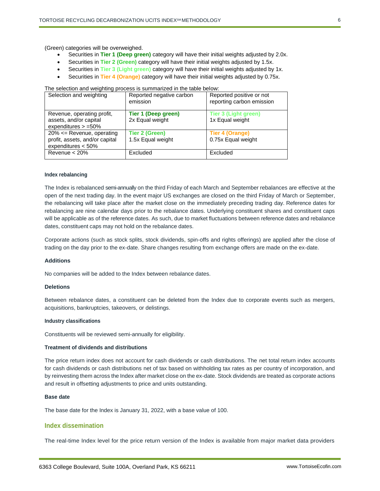(Green) categories will be overweighed.

- Securities in **Tier 1 (Deep green)** category will have their initial weights adjusted by 2.0x.
- Securities in **Tier 2 (Green)** category will have their initial weights adjusted by 1.5x.
- Securities in **Tier 3 (Light green)** category will have their initial weights adjusted by 1x.
- Securities in **Tier 4 (Orange)** category will have their initial weights adjusted by 0.75x.

The selection and weighting process is summarized in the table below:

| Selection and weighting                                                                | Reported negative carbon<br>emission       | Reported positive or not<br>reporting carbon emission |
|----------------------------------------------------------------------------------------|--------------------------------------------|-------------------------------------------------------|
| Revenue, operating profit,<br>assets, and/or capital<br>expenditures $> =50\%$         | Tier 1 (Deep green)<br>2x Equal weight     | <b>Tier 3 (Light green)</b><br>1x Equal weight        |
| $20\% \leq$ Revenue, operating<br>profit, assets, and/or capital<br>expenditures < 50% | <b>Tier 2 (Green)</b><br>1.5x Equal weight | <b>Tier 4 (Orange)</b><br>0.75x Equal weight          |
| Revenue $< 20\%$                                                                       | Excluded                                   | Excluded                                              |

#### **Index rebalancing**

The Index is rebalanced semi-annually on the third Friday of each March and September rebalances are effective at the open of the next trading day. In the event major US exchanges are closed on the third Friday of March or September, the rebalancing will take place after the market close on the immediately preceding trading day. Reference dates for rebalancing are nine calendar days prior to the rebalance dates. Underlying constituent shares and constituent caps will be applicable as of the reference dates. As such, due to market fluctuations between reference dates and rebalance dates, constituent caps may not hold on the rebalance dates.

Corporate actions (such as stock splits, stock dividends, spin-offs and rights offerings) are applied after the close of trading on the day prior to the ex-date. Share changes resulting from exchange offers are made on the ex-date.

#### **Additions**

No companies will be added to the Index between rebalance dates.

#### **Deletions**

Between rebalance dates, a constituent can be deleted from the Index due to corporate events such as mergers, acquisitions, bankruptcies, takeovers, or delistings.

#### **Industry classifications**

Constituents will be reviewed semi-annually for eligibility.

#### **Treatment of dividends and distributions**

The price return index does not account for cash dividends or cash distributions. The net total return index accounts for cash dividends or cash distributions net of tax based on withholding tax rates as per country of incorporation, and by reinvesting them across the Index after market close on the ex-date. Stock dividends are treated as corporate actions and result in offsetting adjustments to price and units outstanding.

#### **Base date**

The base date for the Index is January 31, 2022, with a base value of 100.

## <span id="page-5-0"></span>**Index dissemination**

The real-time Index level for the price return version of the Index is available from major market data providers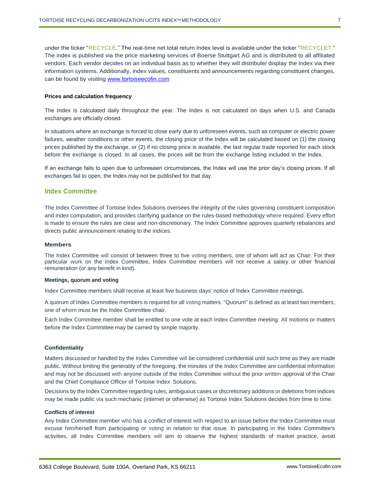under the ticker "RECYCLE." The real-time net total return Index level is available under the ticker "RECYCLET." The index is published via the price marketing services of Boerse Stuttgart AG and is distributed to all affiliated vendors. Each vendor decides on an individual basis as to whether they will distribute/ display the Index via their information systems. Additionally, index values, constituents and announcements regarding constituent changes, can be found by visiting [www.tortoiseecofin.com](http://www.tortoiseecofin.com/)

#### **Prices and calculation frequency**

The Index is calculated daily throughout the year. The Index is not calculated on days when U.S. and Canada exchanges are officially closed.

In situations where an exchange is forced to close early due to unforeseen events, such as computer or electric power failures, weather conditions or other events, the closing price of the Index will be calculated based on (1) the closing prices published by the exchange, or (2) if no closing price is available, the last regular trade reported for each stock before the exchange is closed. In all cases, the prices will be from the exchange listing included in the Index.

If an exchange fails to open due to unforeseen circumstances, the Index will use the prior day's closing prices. If all exchanges fail to open, the Index may not be published for that day.

## <span id="page-6-0"></span>**Index Committee**

The Index Committee of Tortoise Index Solutions oversees the integrity of the rules governing constituent composition and index computation, and provides clarifying guidance on the rules-based methodology where required. Every effort is made to ensure the rules are clear and non-discretionary. The Index Committee approves quarterly rebalances and directs public announcement relating to the indices.

#### **Members**

The Index Committee will consist of between three to five voting members, one of whom will act as Chair. For their particular work on the Index Committee, Index Committee members will not receive a salary or other financial remuneration (or any benefit in kind).

#### **Meetings, quorum and voting**

Index Committee members shall receive at least five business days' notice of Index Committee meetings.

A quorum of Index Committee members is required for all voting matters. "Quorum" is defined as at least two members, one of whom must be the Index Committee chair.

Each Index Committee member shall be entitled to one vote at each Index Committee meeting. All motions or matters before the Index Committee may be carried by simple majority.

#### **Confidentiality**

Matters discussed or handled by the Index Committee will be considered confidential until such time as they are made public. Without limiting the generality of the foregoing, the minutes of the Index Committee are confidential information and may not be discussed with anyone outside of the Index Committee without the prior written approval of the Chair and the Chief Compliance Officer of Tortoise Index Solutions.

Decisions by the Index Committee regarding rules, ambiguous cases or discretionary additions or deletions from indices may be made public via such mechanic (internet or otherwise) as Tortoise Index Solutions decides from time to time.

#### **Conflicts of interest**

Any Index Committee member who has a conflict of interest with respect to an issue before the Index Committee must excuse him/herself from participating or voting in relation to that issue. In participating in the Index Committee's activities, all Index Committee members will aim to observe the highest standards of market practice, avoid